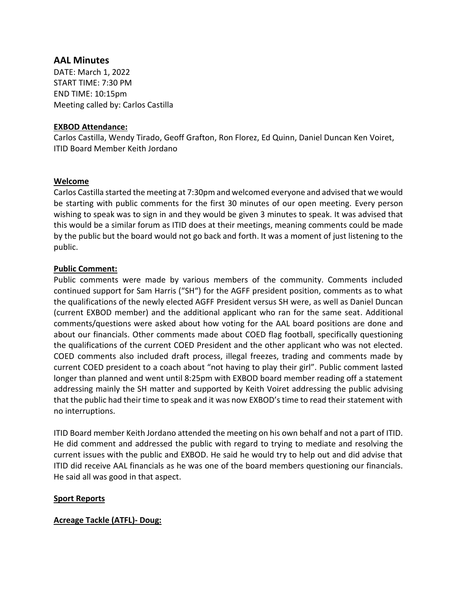# **AAL Minutes**

DATE: March 1, 2022 START TIME: 7:30 PM END TIME: 10:15pm Meeting called by: Carlos Castilla

## **EXBOD Attendance:**

Carlos Castilla, Wendy Tirado, Geoff Grafton, Ron Florez, Ed Quinn, Daniel Duncan Ken Voiret, ITID Board Member Keith Jordano

## **Welcome**

Carlos Castilla started the meeting at 7:30pm and welcomed everyone and advised that we would be starting with public comments for the first 30 minutes of our open meeting. Every person wishing to speak was to sign in and they would be given 3 minutes to speak. It was advised that this would be a similar forum as ITID does at their meetings, meaning comments could be made by the public but the board would not go back and forth. It was a moment of just listening to the public.

## **Public Comment:**

Public comments were made by various members of the community. Comments included continued support for Sam Harris ("SH") for the AGFF president position, comments as to what the qualifications of the newly elected AGFF President versus SH were, as well as Daniel Duncan (current EXBOD member) and the additional applicant who ran for the same seat. Additional comments/questions were asked about how voting for the AAL board positions are done and about our financials. Other comments made about COED flag football, specifically questioning the qualifications of the current COED President and the other applicant who was not elected. COED comments also included draft process, illegal freezes, trading and comments made by current COED president to a coach about "not having to play their girl". Public comment lasted longer than planned and went until 8:25pm with EXBOD board member reading off a statement addressing mainly the SH matter and supported by Keith Voiret addressing the public advising that the public had their time to speak and it was now EXBOD's time to read their statement with no interruptions.

ITID Board member Keith Jordano attended the meeting on his own behalf and not a part of ITID. He did comment and addressed the public with regard to trying to mediate and resolving the current issues with the public and EXBOD. He said he would try to help out and did advise that ITID did receive AAL financials as he was one of the board members questioning our financials. He said all was good in that aspect.

### **Sport Reports**

### **Acreage Tackle (ATFL)- Doug:**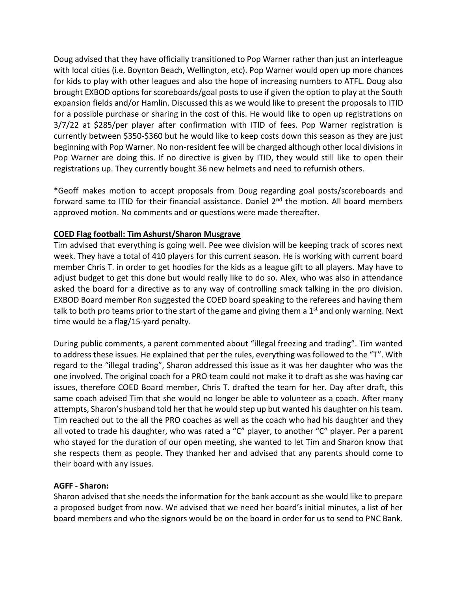Doug advised that they have officially transitioned to Pop Warner rather than just an interleague with local cities (i.e. Boynton Beach, Wellington, etc). Pop Warner would open up more chances for kids to play with other leagues and also the hope of increasing numbers to ATFL. Doug also brought EXBOD options for scoreboards/goal posts to use if given the option to play at the South expansion fields and/or Hamlin. Discussed this as we would like to present the proposals to ITID for a possible purchase or sharing in the cost of this. He would like to open up registrations on 3/7/22 at \$285/per player after confirmation with ITID of fees. Pop Warner registration is currently between \$350-\$360 but he would like to keep costs down this season as they are just beginning with Pop Warner. No non-resident fee will be charged although other local divisions in Pop Warner are doing this. If no directive is given by ITID, they would still like to open their registrations up. They currently bought 36 new helmets and need to refurnish others.

\*Geoff makes motion to accept proposals from Doug regarding goal posts/scoreboards and forward same to ITID for their financial assistance. Daniel 2<sup>nd</sup> the motion. All board members approved motion. No comments and or questions were made thereafter.

## **COED Flag football: Tim Ashurst/Sharon Musgrave**

Tim advised that everything is going well. Pee wee division will be keeping track of scores next week. They have a total of 410 players for this current season. He is working with current board member Chris T. in order to get hoodies for the kids as a league gift to all players. May have to adjust budget to get this done but would really like to do so. Alex, who was also in attendance asked the board for a directive as to any way of controlling smack talking in the pro division. EXBOD Board member Ron suggested the COED board speaking to the referees and having them talk to both pro teams prior to the start of the game and giving them a  $1<sup>st</sup>$  and only warning. Next time would be a flag/15-yard penalty.

During public comments, a parent commented about "illegal freezing and trading". Tim wanted to address these issues. He explained that per the rules, everything was followed to the "T". With regard to the "illegal trading", Sharon addressed this issue as it was her daughter who was the one involved. The original coach for a PRO team could not make it to draft as she was having car issues, therefore COED Board member, Chris T. drafted the team for her. Day after draft, this same coach advised Tim that she would no longer be able to volunteer as a coach. After many attempts, Sharon's husband told her that he would step up but wanted his daughter on his team. Tim reached out to the all the PRO coaches as well as the coach who had his daughter and they all voted to trade his daughter, who was rated a "C" player, to another "C" player. Per a parent who stayed for the duration of our open meeting, she wanted to let Tim and Sharon know that she respects them as people. They thanked her and advised that any parents should come to their board with any issues.

### **AGFF - Sharon:**

Sharon advised that she needs the information for the bank account as she would like to prepare a proposed budget from now. We advised that we need her board's initial minutes, a list of her board members and who the signors would be on the board in order for us to send to PNC Bank.